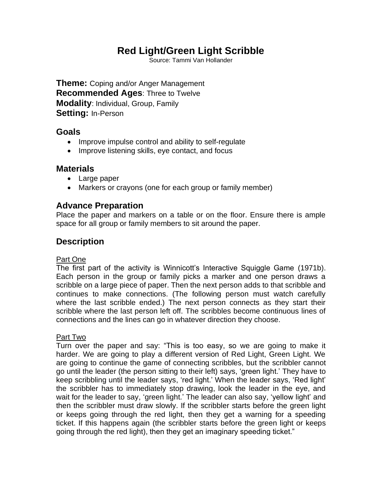# **Red Light/Green Light Scribble**

Source: Tammi Van Hollander

**Theme:** Coping and/or Anger Management **Recommended Ages**: Three to Twelve **Modality**: Individual, Group, Family **Setting:** In-Person

# **Goals**

- Improve impulse control and ability to self-regulate
- Improve listening skills, eye contact, and focus

## **Materials**

- Large paper
- Markers or crayons (one for each group or family member)

## **Advance Preparation**

Place the paper and markers on a table or on the floor. Ensure there is ample space for all group or family members to sit around the paper.

# **Description**

#### Part One

The first part of the activity is Winnicott's Interactive Squiggle Game (1971b). Each person in the group or family picks a marker and one person draws a scribble on a large piece of paper. Then the next person adds to that scribble and continues to make connections. (The following person must watch carefully where the last scribble ended.) The next person connects as they start their scribble where the last person left off. The scribbles become continuous lines of connections and the lines can go in whatever direction they choose.

#### Part Two

Turn over the paper and say: "This is too easy, so we are going to make it harder. We are going to play a different version of Red Light, Green Light. We are going to continue the game of connecting scribbles, but the scribbler cannot go until the leader (the person sitting to their left) says, 'green light.' They have to keep scribbling until the leader says, 'red light.' When the leader says, 'Red light' the scribbler has to immediately stop drawing, look the leader in the eye, and wait for the leader to say, 'green light.' The leader can also say, 'yellow light' and then the scribbler must draw slowly. If the scribbler starts before the green light or keeps going through the red light, then they get a warning for a speeding ticket. If this happens again (the scribbler starts before the green light or keeps going through the red light), then they get an imaginary speeding ticket."